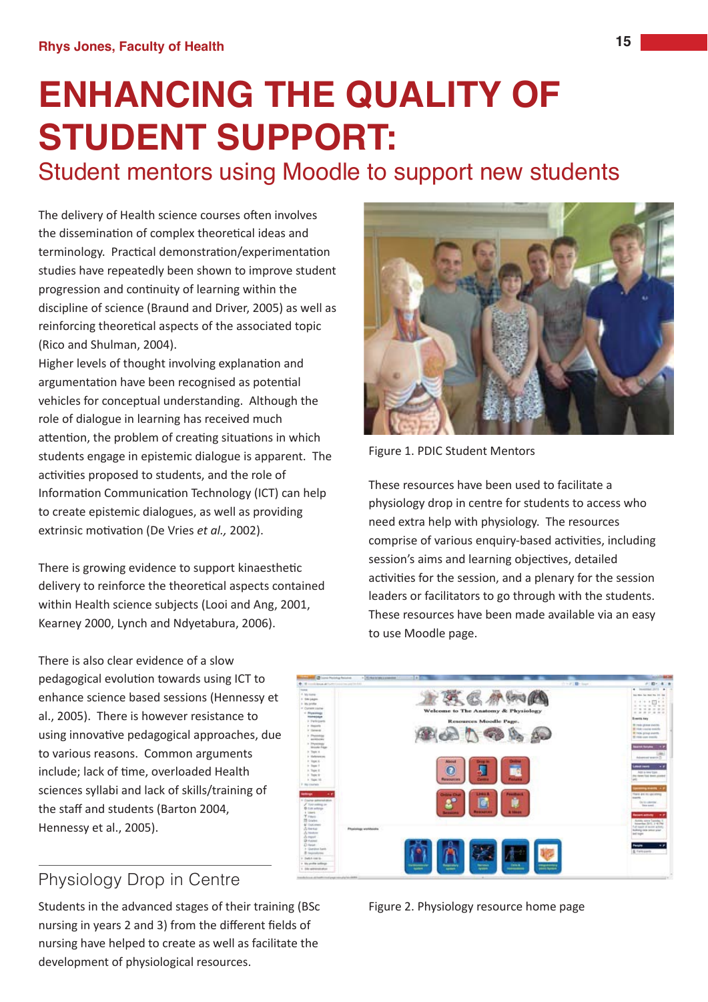# **ENHANCING THE QUALITY OF STUDENT SUPPORT:**

## Student mentors using Moodle to support new students

The delivery of Health science courses often involves the dissemination of complex theoretical ideas and terminology. Practical demonstration/experimentation studies have repeatedly been shown to improve student progression and continuity of learning within the discipline of science (Braund and Driver, 2005) as well as reinforcing theoretical aspects of the associated topic (Rico and Shulman, 2004).

Higher levels of thought involving explanation and argumentation have been recognised as potential vehicles for conceptual understanding. Although the role of dialogue in learning has received much attention, the problem of creating situations in which students engage in epistemic dialogue is apparent. The activities proposed to students, and the role of Information Communication Technology (ICT) can help to create epistemic dialogues, as well as providing extrinsic motivation (De Vries et al., 2002).

There is growing evidence to support kinaesthetic delivery to reinforce the theoretical aspects contained within Health science subjects (Looi and Ang, 2001, Kearney 2000, Lynch and Ndyetabura, 2006).



Figure 1. PDIC Student Mentors

These resources have been used to facilitate a physiology drop in centre for students to access who need extra help with physiology. The resources comprise of various enquiry-based activities, including session's aims and learning objectives, detailed activities for the session, and a plenary for the session leaders or facilitators to go through with the students. These resources have been made available via an easy to use Moodle page.

There is also clear evidence of a slow pedagogical evolution towards using ICT to enhance science based sessions (Hennessy et al., 2005). There is however resistance to using innovative pedagogical approaches, due to various reasons. Common arguments include; lack of time, overloaded Health sciences syllabi and lack of skills/training of the staff and students (Barton 2004. Hennessy et al., 2005).



## Physiology Drop in Centre

Students in the advanced stages of their training (BSc nursing in years 2 and 3) from the different fields of nursing have helped to create as well as facilitate the development of physiological resources.